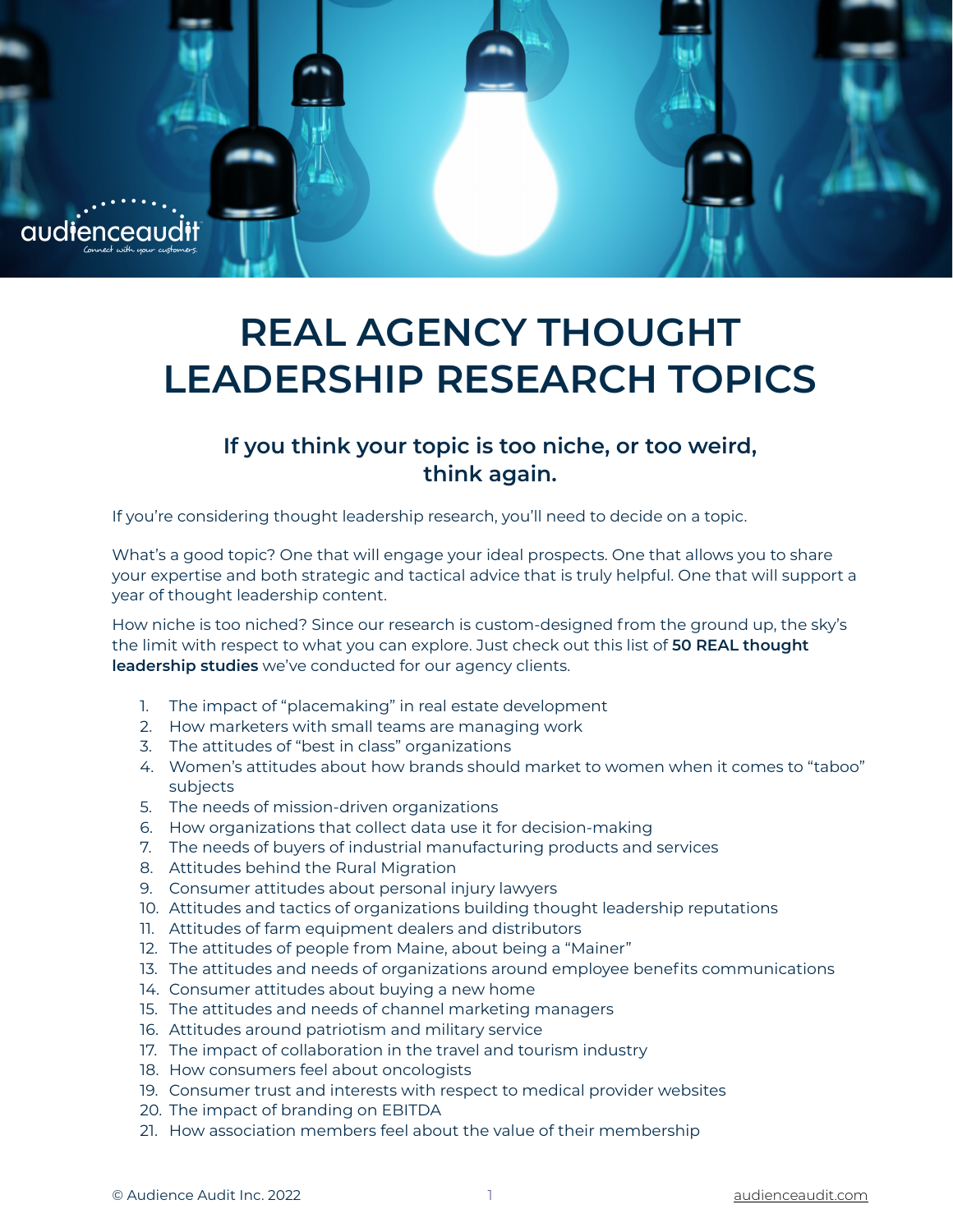

## **REAL AGENCY THOUGHT LEADERSHIP RESEARCH TOPICS**

## **If you think your topic is too niche, or too weird, think again.**

If you're considering thought leadership research, you'll need to decide on a topic.

What's a good topic? One that will engage your ideal prospects. One that allows you to share your expertise and both strategic and tactical advice that is truly helpful. One that will support a year of thought leadership content.

How niche is too niched? Since our research is custom-designed from the ground up, the sky's the limit with respect to what you can explore. Just check out this list of **50 REAL thought leadership studies** we've conducted for our agency clients.

- 1. The impact of "placemaking" in real estate development
- 2. How marketers with small teams are managing work
- 3. The attitudes of "best in class" organizations
- 4. Women's attitudes about how brands should market to women when it comes to "taboo" subjects
- 5. The needs of mission-driven organizations
- 6. How organizations that collect data use it for decision-making
- 7. The needs of buyers of industrial manufacturing products and services
- 8. Attitudes behind the Rural Migration
- 9. Consumer attitudes about personal injury lawyers
- 10. Attitudes and tactics of organizations building thought leadership reputations
- 11. Attitudes of farm equipment dealers and distributors
- 12. The attitudes of people from Maine, about being a "Mainer"
- 13. The attitudes and needs of organizations around employee benefits communications
- 14. Consumer attitudes about buying a new home
- 15. The attitudes and needs of channel marketing managers
- 16. Attitudes around patriotism and military service
- 17. The impact of collaboration in the travel and tourism industry
- 18. How consumers feel about oncologists
- 19. Consumer trust and interests with respect to medical provider websites
- 20. The impact of branding on EBITDA
- 21. How association members feel about the value of their membership